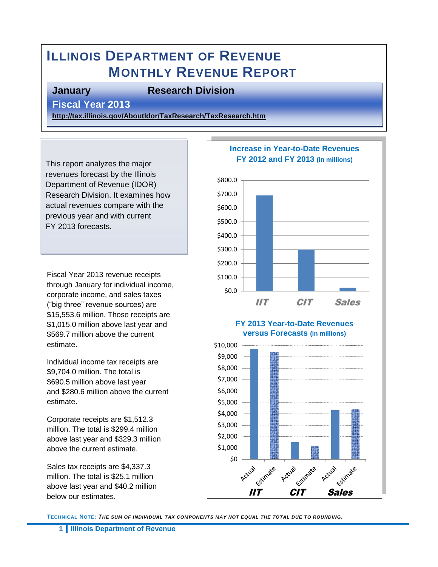# **ILLINOIS DEPARTMENT OF REVENUE MONTHLY REVENUE REPORT**

#### **January Research Division**

**Fiscal Year 2013** 

**<http://tax.illinois.gov/AboutIdor/TaxResearch/TaxResearch.htm>**

This report analyzes the major revenues forecast by the Illinois Department of Revenue (IDOR) Research Division. It examines how actual revenues compare with the previous year and with current FY 2013 forecasts.

Fiscal Year 2013 revenue receipts through January for individual income, corporate income, and sales taxes ("big three" revenue sources) are \$15,553.6 million. Those receipts are \$1,015.0 million above last year and \$569.7 million above the current estimate.

Individual income tax receipts are \$9,704.0 million. The total is \$690.5 million above last year and \$280.6 million above the current estimate.

Corporate receipts are \$1,512.3 million. The total is \$299.4 million above last year and \$329.3 million above the current estimate.

Sales tax receipts are \$4,337.3 million. The total is \$25.1 million above last year and \$40.2 million below our estimates.



**TECHNICAL NOTE:** *THE SUM OF INDIVIDUAL TAX COMPONENTS MAY NOT EQUAL THE TOTAL DUE TO ROUNDING.*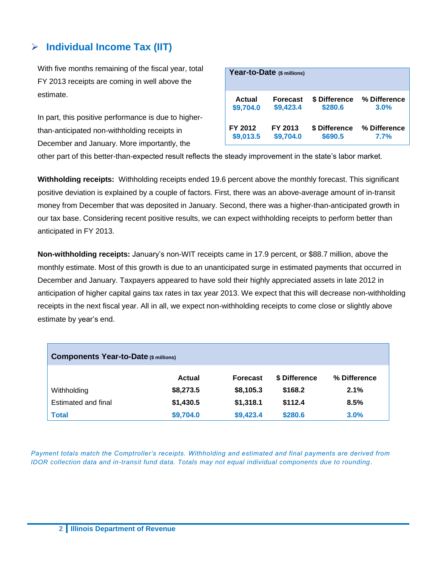#### **Individual Income Tax (IIT)**

With five months remaining of the fiscal year, total FY 2013 receipts are coming in well above the estimate.

In part, this positive performance is due to higherthan-anticipated non-withholding receipts in December and January. More importantly, the

|           | Year-to-Date (\$ millions) |               |              |
|-----------|----------------------------|---------------|--------------|
| Actual    | <b>Forecast</b>            | \$ Difference | % Difference |
| \$9,704.0 | \$9,423.4                  | \$280.6       | 3.0%         |
| FY 2012   | FY 2013                    | \$ Difference | % Difference |
| \$9,013.5 | \$9,704.0                  | \$690.5       | 7.7%         |

other part of this better-than-expected result reflects the steady improvement in the state's labor market.

**Withholding receipts:** Withholding receipts ended 19.6 percent above the monthly forecast. This significant positive deviation is explained by a couple of factors. First, there was an above-average amount of in-transit money from December that was deposited in January. Second, there was a higher-than-anticipated growth in our tax base. Considering recent positive results, we can expect withholding receipts to perform better than anticipated in FY 2013.

**Non-withholding receipts:** January's non-WIT receipts came in 17.9 percent, or \$88.7 million, above the monthly estimate. Most of this growth is due to an unanticipated surge in estimated payments that occurred in December and January. Taxpayers appeared to have sold their highly appreciated assets in late 2012 in anticipation of higher capital gains tax rates in tax year 2013. We expect that this will decrease non-withholding receipts in the next fiscal year. All in all, we expect non-withholding receipts to come close or slightly above estimate by year's end.

| <b>Components Year-to-Date (\$ millions)</b> |               |                 |               |              |  |  |
|----------------------------------------------|---------------|-----------------|---------------|--------------|--|--|
|                                              | <b>Actual</b> | <b>Forecast</b> | \$ Difference | % Difference |  |  |
| Withholding                                  | \$8,273.5     | \$8,105.3       | \$168.2       | 2.1%         |  |  |
| Estimated and final                          | \$1,430.5     | \$1,318.1       | \$112.4       | 8.5%         |  |  |
| <b>Total</b>                                 | \$9,704.0     | \$9,423.4       | \$280.6       | 3.0%         |  |  |

*Payment totals match the Comptroller's receipts. Withholding and estimated and final payments are derived from IDOR collection data and in-transit fund data. Totals may not equal individual components due to rounding.*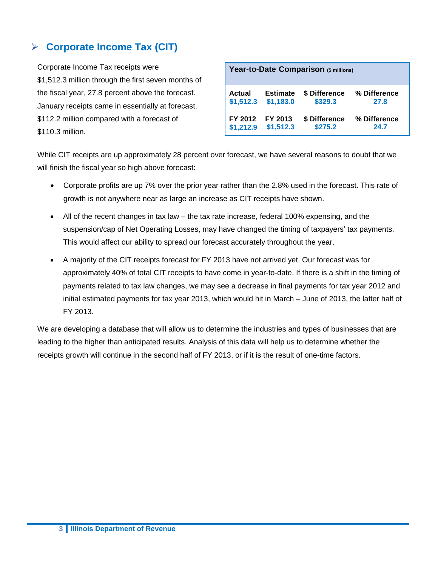#### **Corporate Income Tax (CIT)**

Corporate Income Tax receipts were \$1,512.3 million through the first seven months of the fiscal year, 27.8 percent above the forecast. January receipts came in essentially at forecast, \$112.2 million compared with a forecast of \$110.3 million.

| Year-to-Date Comparison (\$ millions) |                 |               |              |  |  |
|---------------------------------------|-----------------|---------------|--------------|--|--|
| Actual                                | <b>Estimate</b> | \$ Difference | % Difference |  |  |
| \$1,512.3                             | \$1,183.0       | \$329.3       | 27.8         |  |  |
| FY 2012                               | FY 2013         | \$ Difference | % Difference |  |  |
| \$1,212.9                             | \$1,512.3       | \$275.2       | 24.7         |  |  |

While CIT receipts are up approximately 28 percent over forecast, we have several reasons to doubt that we will finish the fiscal year so high above forecast:

- Corporate profits are up 7% over the prior year rather than the 2.8% used in the forecast. This rate of growth is not anywhere near as large an increase as CIT receipts have shown.
- All of the recent changes in tax law the tax rate increase, federal 100% expensing, and the suspension/cap of Net Operating Losses, may have changed the timing of taxpayers' tax payments. This would affect our ability to spread our forecast accurately throughout the year.
- A majority of the CIT receipts forecast for FY 2013 have not arrived yet. Our forecast was for approximately 40% of total CIT receipts to have come in year-to-date. If there is a shift in the timing of payments related to tax law changes, we may see a decrease in final payments for tax year 2012 and initial estimated payments for tax year 2013, which would hit in March – June of 2013, the latter half of FY 2013.

We are developing a database that will allow us to determine the industries and types of businesses that are leading to the higher than anticipated results. Analysis of this data will help us to determine whether the receipts growth will continue in the second half of FY 2013, or if it is the result of one-time factors.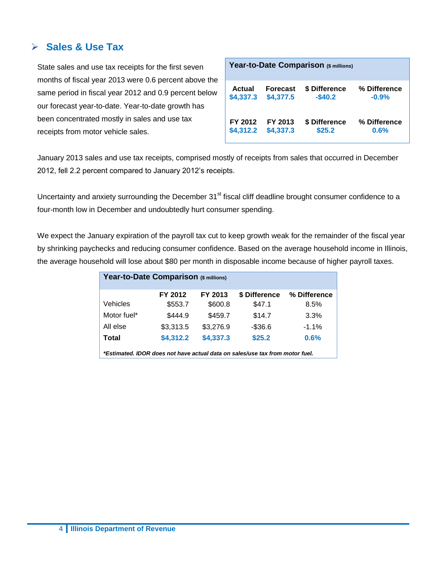#### **Sales & Use Tax**

State sales and use tax receipts for the first seven months of fiscal year 2013 were 0.6 percent above the same period in fiscal year 2012 and 0.9 percent below our forecast year-to-date. Year-to-date growth has been concentrated mostly in sales and use tax receipts from motor vehicle sales.

| Year-to-Date Comparison (\$ millions) |                 |               |              |  |  |
|---------------------------------------|-----------------|---------------|--------------|--|--|
| <b>Actual</b>                         | <b>Forecast</b> | \$ Difference | % Difference |  |  |
| \$4,337.3                             | \$4,377.5       | $-$ \$40.2    | $-0.9%$      |  |  |
| FY 2012                               | FY 2013         | \$ Difference | % Difference |  |  |
| \$4,312.2                             | \$4,337.3       | \$25.2        | 0.6%         |  |  |

January 2013 sales and use tax receipts, comprised mostly of receipts from sales that occurred in December 2012, fell 2.2 percent compared to January 2012's receipts.

Uncertainty and anxiety surrounding the December 31<sup>st</sup> fiscal cliff deadline brought consumer confidence to a four-month low in December and undoubtedly hurt consumer spending.

We expect the January expiration of the payroll tax cut to keep growth weak for the remainder of the fiscal year by shrinking paychecks and reducing consumer confidence. Based on the average household income in Illinois, the average household will lose about \$80 per month in disposable income because of higher payroll taxes.

| Year-to-Date Comparison (\$ millions)                                        |           |           |               |              |  |  |
|------------------------------------------------------------------------------|-----------|-----------|---------------|--------------|--|--|
|                                                                              | FY 2012   | FY 2013   | \$ Difference | % Difference |  |  |
| Vehicles                                                                     | \$553.7   | \$600.8   | \$47.1        | 8.5%         |  |  |
| Motor fuel*                                                                  | \$444.9   | \$459.7   | \$14.7        | 3.3%         |  |  |
| All else                                                                     | \$3,313.5 | \$3,276.9 | $-$36.6$      | $-1.1%$      |  |  |
| Total                                                                        | \$4,312.2 | \$4,337.3 | \$25.2        | 0.6%         |  |  |
| *Estimated. IDOR does not have actual data on sales/use tax from motor fuel. |           |           |               |              |  |  |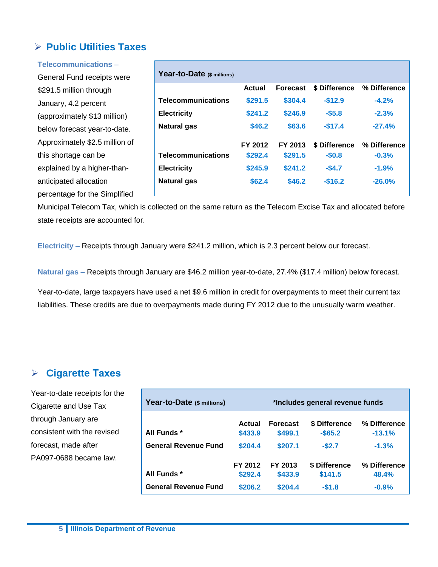#### **Public Utilities Taxes**

| Telecommunications -           |                            |               |                 |               |              |
|--------------------------------|----------------------------|---------------|-----------------|---------------|--------------|
| General Fund receipts were     | Year-to-Date (\$ millions) |               |                 |               |              |
| \$291.5 million through        |                            | <b>Actual</b> | <b>Forecast</b> | \$ Difference | % Difference |
| January, 4.2 percent           | <b>Telecommunications</b>  | \$291.5       | \$304.4         | $-$12.9$      | $-4.2%$      |
| (approximately \$13 million)   | <b>Electricity</b>         | \$241.2       | \$246.9         | $-$5.8$       | $-2.3%$      |
| below forecast year-to-date.   | <b>Natural gas</b>         | \$46.2        | \$63.6          | $-$17.4$      | $-27.4%$     |
| Approximately \$2.5 million of |                            | FY 2012       | FY 2013         | \$ Difference | % Difference |
| this shortage can be           | <b>Telecommunications</b>  | \$292.4       | \$291.5         | $-$0.8$       | $-0.3%$      |
| explained by a higher-than-    | <b>Electricity</b>         | \$245.9       | \$241.2         | $-$4.7$       | $-1.9%$      |
| anticipated allocation         | <b>Natural gas</b>         | \$62.4        | \$46.2          | $-$16.2$      | $-26.0%$     |
| percentage for the Simplified  |                            |               |                 |               |              |

Municipal Telecom Tax, which is collected on the same return as the Telecom Excise Tax and allocated before state receipts are accounted for.

**Electricity –** Receipts through January were \$241.2 million, which is 2.3 percent below our forecast.

**Natural gas –** Receipts through January are \$46.2 million year-to-date, 27.4% (\$17.4 million) below forecast.

Year-to-date, large taxpayers have used a net \$9.6 million in credit for overpayments to meet their current tax liabilities. These credits are due to overpayments made during FY 2012 due to the unusually warm weather.

#### **Cigarette Taxes**

Year-to-date receipts for the Cigarette and Use Tax through January are consistent with the revised forecast, made after PA097-0688 became law.

| Year-to-Date (\$ millions)  | *Includes general revenue funds |                            |                             |                          |  |
|-----------------------------|---------------------------------|----------------------------|-----------------------------|--------------------------|--|
| All Funds *                 | Actual<br>\$433.9               | <b>Forecast</b><br>\$499.1 | \$ Difference<br>$-$ \$65.2 | % Difference<br>$-13.1%$ |  |
| <b>General Revenue Fund</b> | \$204.4                         | \$207.1                    | $-$2.7$                     | $-1.3%$                  |  |
| All Funds *                 | FY 2012<br>\$292.4              | FY 2013<br>\$433.9         | \$ Difference<br>\$141.5    | % Difference<br>48.4%    |  |
| <b>General Revenue Fund</b> | \$206.2                         | \$204.4                    | $-$1.8$                     | $-0.9%$                  |  |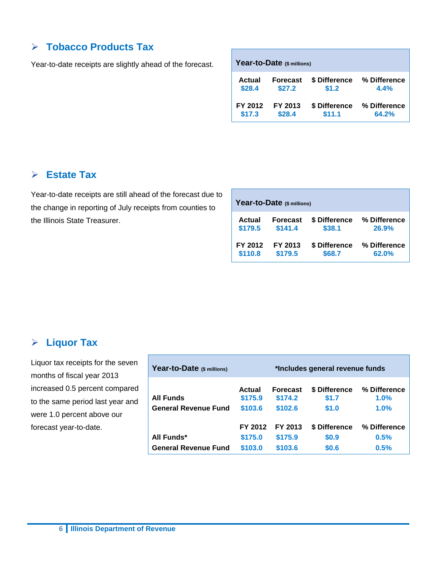## **Tobacco Products Tax**

Year-to-date receipts are slightly ahead of the forecast.

| Year-to-Date (\$ millions) |                 |               |              |  |  |  |
|----------------------------|-----------------|---------------|--------------|--|--|--|
| Actual                     | <b>Forecast</b> | \$ Difference | % Difference |  |  |  |
| \$28.4                     | \$27.2          | \$1.2         | 4.4%         |  |  |  |
| FY 2012                    | FY 2013         | \$ Difference | % Difference |  |  |  |
| \$17.3                     | \$28.4          | \$11.1        | 64.2%        |  |  |  |

#### **Estate Tax**

Year-to-date receipts are still ahead of the forecast due to the change in reporting of July receipts from counties to the Illinois State Treasurer.

| Year-to-Date (\$ millions) |                 |               |              |  |  |  |  |
|----------------------------|-----------------|---------------|--------------|--|--|--|--|
| Actual                     | <b>Forecast</b> | \$ Difference | % Difference |  |  |  |  |
| \$179.5                    | \$141.4         | \$38.1        | 26.9%        |  |  |  |  |
| FY 2012                    | FY 2013         | \$ Difference | % Difference |  |  |  |  |
| \$110.8                    | \$179.5         | \$68.7        | 62.0%        |  |  |  |  |

#### **Liquor Tax**

Liquor tax receipts for the seven months of fiscal year 2013 increased 0.5 percent compared to the same period last year and were 1.0 percent above our forecast year-to-date.

| Year-to-Date (\$ millions)  | *Includes general revenue funds |                            |                        |                         |  |
|-----------------------------|---------------------------------|----------------------------|------------------------|-------------------------|--|
| <b>All Funds</b>            | Actual<br>\$175.9               | <b>Forecast</b><br>\$174.2 | \$ Difference<br>\$1.7 | % Difference<br>$1.0\%$ |  |
| <b>General Revenue Fund</b> | \$103.6                         | \$102.6                    | \$1.0                  | $1.0\%$                 |  |
|                             | FY 2012                         | FY 2013                    | \$ Difference          | % Difference            |  |
| All Funds*                  | \$175.0                         | \$175.9                    | \$0.9                  | 0.5%                    |  |
| <b>General Revenue Fund</b> | \$103.0                         | \$103.6                    | \$0.6                  | 0.5%                    |  |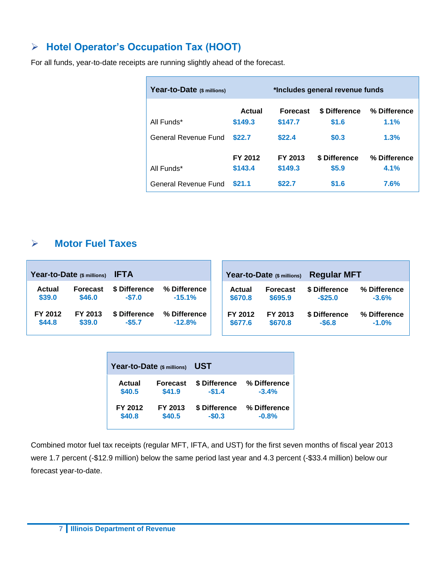#### **Hotel Operator's Occupation Tax (HOOT)**

For all funds, year-to-date receipts are running slightly ahead of the forecast.

| Year-to-Date (\$ millions) | *Includes general revenue funds |                            |                        |                      |
|----------------------------|---------------------------------|----------------------------|------------------------|----------------------|
| All Funds*                 | Actual<br>\$149.3               | <b>Forecast</b><br>\$147.7 | \$ Difference<br>\$1.6 | % Difference<br>1.1% |
| General Revenue Fund       | \$22.7                          | \$22.4                     | \$0.3                  | 1.3%                 |
| All Funds*                 | FY 2012<br>\$143.4              | FY 2013<br>\$149.3         | \$ Difference<br>\$5.9 | % Difference<br>4.1% |
| General Revenue Fund       | \$21.1                          | \$22.7                     | \$1.6                  | 7.6%                 |

#### **Motor Fuel Taxes**

|         | Year-to-Date (\$ millions) | <b>IFTA</b>   |              |         | Year-to-Date (\$ millions) | <b>Regular MFT</b> |              |
|---------|----------------------------|---------------|--------------|---------|----------------------------|--------------------|--------------|
| Actual  | <b>Forecast</b>            | \$ Difference | % Difference | Actual  | <b>Forecast</b>            | \$ Difference      | % Difference |
| \$39.0  | \$46.0                     | $-$7.0$       | $-15.1%$     | \$670.8 | \$695.9                    | $-$ \$25.0         | $-3.6%$      |
| FY 2012 | FY 2013                    | \$ Difference | % Difference | FY 2012 | FY 2013                    | \$ Difference      | % Difference |
| \$44.8  | \$39.0                     | $-$ \$5.7     | $-12.8%$     | \$677.6 | \$670.8                    | $-$6.8$            | $-1.0%$      |

| Year-to-Date (\$ millions) |                 | UST           |              |  |  |  |  |  |
|----------------------------|-----------------|---------------|--------------|--|--|--|--|--|
| Actual                     | <b>Forecast</b> | \$ Difference | % Difference |  |  |  |  |  |
| \$40.5                     | \$41.9          | $-$1.4$       | $-3.4%$      |  |  |  |  |  |
| FY 2012                    | FY 2013         | \$ Difference | % Difference |  |  |  |  |  |
| \$40.8                     | \$40.5          | $-$0.3$       | $-0.8%$      |  |  |  |  |  |

Combined motor fuel tax receipts (regular MFT, IFTA, and UST) for the first seven months of fiscal year 2013 were 1.7 percent (-\$12.9 million) below the same period last year and 4.3 percent (-\$33.4 million) below our forecast year-to-date.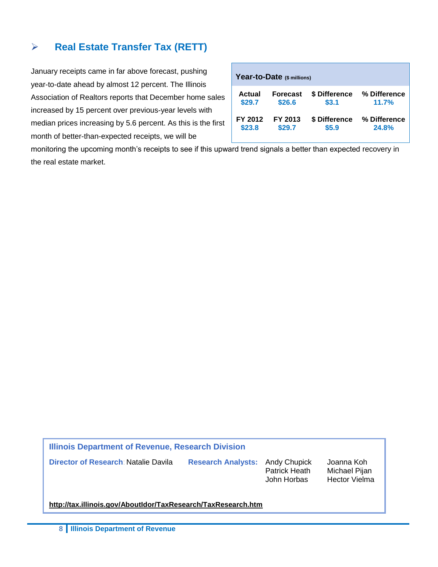#### **Real Estate Transfer Tax (RETT)**

January receipts came in far above forecast, pushing year-to-date ahead by almost 12 percent. The Illinois Association of Realtors reports that December home sales increased by 15 percent over previous-year levels with median prices increasing by 5.6 percent. As this is the first month of better-than-expected receipts, we will be

| Year-to-Date (\$ millions) |                 |               |              |  |  |  |  |  |  |  |
|----------------------------|-----------------|---------------|--------------|--|--|--|--|--|--|--|
| Actual                     | <b>Forecast</b> | \$ Difference | % Difference |  |  |  |  |  |  |  |
| \$29.7                     | \$26.6          | \$3.1         | 11.7%        |  |  |  |  |  |  |  |
| FY 2012                    | FY 2013         | \$ Difference | % Difference |  |  |  |  |  |  |  |
| \$23.8                     | \$29.7          | \$5.9         | 24.8%        |  |  |  |  |  |  |  |

monitoring the upcoming month's receipts to see if this upward trend signals a better than expected recovery in the real estate market.

**Illinois Department of Revenue, Research Division** 

**Director of Research**: Natalie Davila **Research Analysts:** Andy Chupick Joanna Koh

Patrick Heath Michael Pijan John Horbas Hector Vielma

**<http://tax.illinois.gov/AboutIdor/TaxResearch/TaxResearch.htm>**